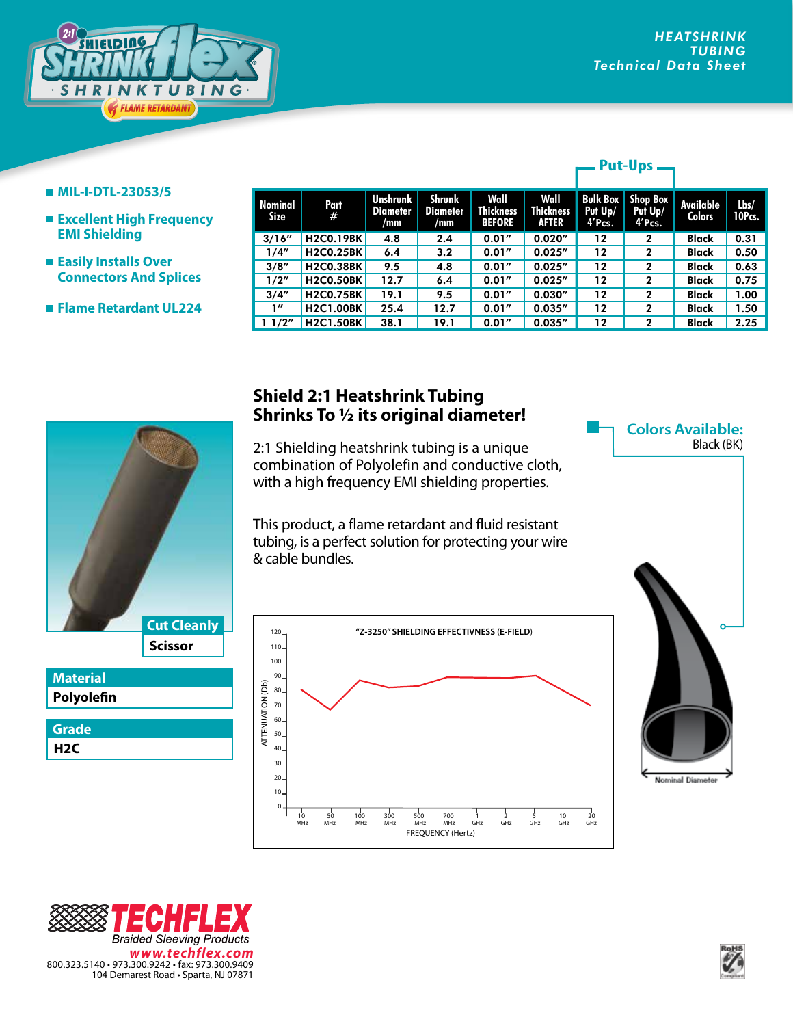**Put-Ups** —



## **MIL-I-DTL-23053/5**

- **Excellent High Frequency EMI Shielding**
- **Easily Installs Over Connectors And Splices**
- **Flame Retardant UL224**

| Nominal<br><b>Size</b> | Part<br>#        | <b>Unshrunk</b><br><b>Diameter</b><br>/mm | <b>Shrunk</b><br><b>Diameter</b><br>/mm | Wall<br><b>Thickness</b><br><b>BEFORE</b> | Wall<br><b>Thickness</b><br><b>AFTER</b> | <b>Bulk Box</b><br>Put Up/<br>4'Pcs. | <b>Shop Box</b><br>Put Up/<br>4'Pcs. | Available<br><b>Colors</b> | Lbs/<br>10Pcs. |  |
|------------------------|------------------|-------------------------------------------|-----------------------------------------|-------------------------------------------|------------------------------------------|--------------------------------------|--------------------------------------|----------------------------|----------------|--|
| 3/16''                 | <b>H2C0.19BK</b> | 4.8                                       | 2.4                                     | 0.01''                                    | 0.020''                                  | 12                                   | 2                                    | <b>Black</b>               | 0.31           |  |
| 1/4''                  | <b>H2C0.25BK</b> | 6.4                                       | 3.2                                     | 0.01''                                    | 0.025''                                  | 12                                   | $\mathbf{2}$                         | <b>Black</b>               | 0.50           |  |
| 3/8''                  | <b>H2C0.38BK</b> | 9.5                                       | 4.8                                     | 0.01''                                    | 0.025''                                  | 12                                   | 2                                    | <b>Black</b>               | 0.63           |  |
| 1/2"                   | <b>H2C0.50BK</b> | 12.7                                      | 6.4                                     | 0.01''                                    | 0.025''                                  | 12                                   | $\mathbf{2}$                         | <b>Black</b>               | 0.75           |  |
| 3/4''                  | <b>H2C0.75BK</b> | 19.1                                      | 9.5                                     | 0.01''                                    | 0.030''                                  | 12                                   | $\mathbf{2}$                         | <b>Black</b>               | 1.00           |  |
| 1''                    | <b>H2C1.00BK</b> | 25.4                                      | 12.7                                    | 0.01''                                    | 0.035''                                  | 12                                   | $\mathbf{2}$                         | <b>Black</b>               | 1.50           |  |
| 11/2"                  | <b>H2C1.50BK</b> | 38.1                                      | 19.1                                    | 0.01''                                    | 0.035''                                  | 12                                   | $\mathbf{2}$                         | <b>Black</b>               | 2.25           |  |

## **Polyolefin Material Scissor Cut Cleanly**

**H2C Grade**

## **Shield 2:1 Heatshrink Tubing Shrinks To 1/2 its original diameter!**

2:1 Shielding heatshrink tubing is a unique combination of Polyolefin and conductive cloth, with a high frequency EMI shielding properties.

This product, a flame retardant and fluid resistant tubing, is a perfect solution for protecting your wire & cable bundles.





**Colors Available:**

Black (BK)